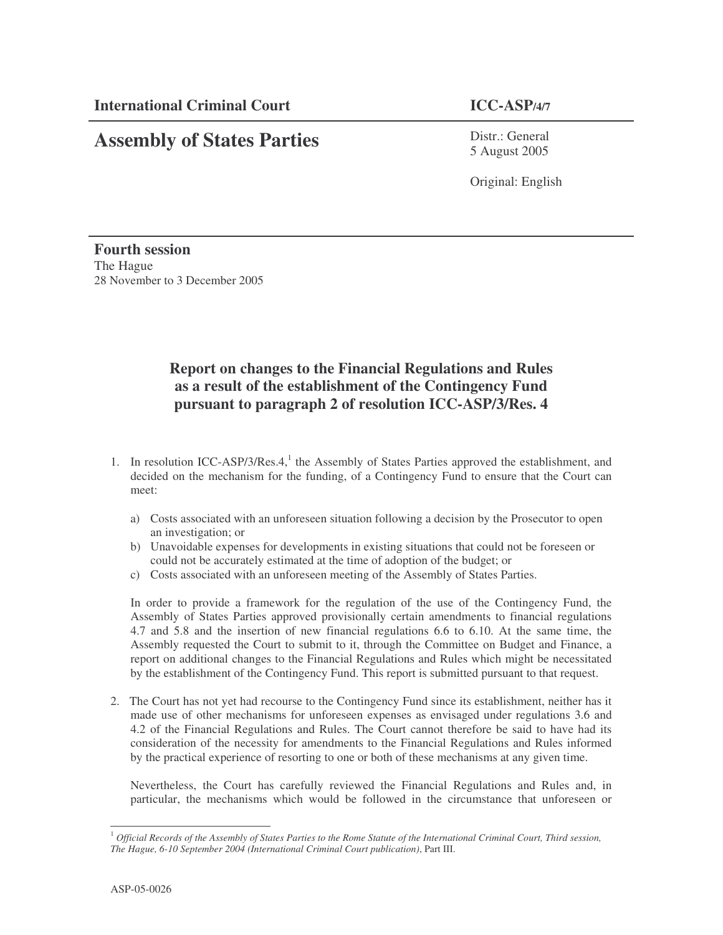## **Assembly of States Parties**

Distr.: General 5 August 2005

Original: English

**Fourth session** The Hague 28 November to 3 December 2005

## **Report on changes to the Financial Regulations and Rules as a result of the establishment of the Contingency Fund pursuant to paragraph 2 of resolution ICC-ASP/3/Res. 4**

- 1. In resolution ICC-ASP/3/Res.4,<sup>1</sup> the Assembly of States Parties approved the establishment, and decided on the mechanism for the funding, of a Contingency Fund to ensure that the Court can meet:
	- a) Costs associated with an unforeseen situation following a decision by the Prosecutor to open an investigation; or
	- b) Unavoidable expenses for developments in existing situations that could not be foreseen or could not be accurately estimated at the time of adoption of the budget; or
	- c) Costs associated with an unforeseen meeting of the Assembly of States Parties.

In order to provide a framework for the regulation of the use of the Contingency Fund, the Assembly of States Parties approved provisionally certain amendments to financial regulations 4.7 and 5.8 and the insertion of new financial regulations 6.6 to 6.10. At the same time, the Assembly requested the Court to submit to it, through the Committee on Budget and Finance, a report on additional changes to the Financial Regulations and Rules which might be necessitated by the establishment of the Contingency Fund. This report is submitted pursuant to that request.

2. The Court has not yet had recourse to the Contingency Fund since its establishment, neither has it made use of other mechanisms for unforeseen expenses as envisaged under regulations 3.6 and 4.2 of the Financial Regulations and Rules. The Court cannot therefore be said to have had its consideration of the necessity for amendments to the Financial Regulations and Rules informed by the practical experience of resorting to one or both of these mechanisms at any given time.

Nevertheless, the Court has carefully reviewed the Financial Regulations and Rules and, in particular, the mechanisms which would be followed in the circumstance that unforeseen or

 $^1$  Official Records of the Assembly of States Parties to the Rome Statute of the International Criminal Court, Third session, *The Hague, 6-10 September 2004 (International Criminal Court publication)*, Part III.